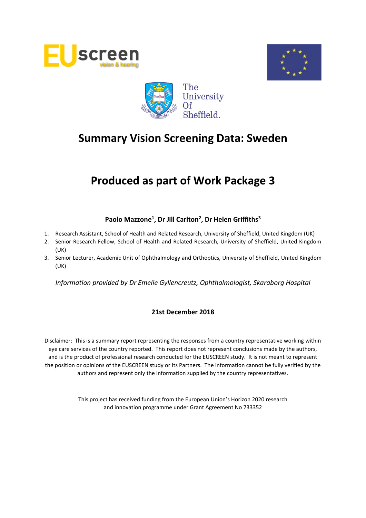





# **Produced as part of Work Package 3**

# **Paolo Mazzone<sup>1</sup> , Dr Jill Carlton<sup>2</sup> , Dr Helen Griffiths<sup>3</sup>**

- 1. Research Assistant, School of Health and Related Research, University of Sheffield, United Kingdom (UK)
- 2. Senior Research Fellow, School of Health and Related Research, University of Sheffield, United Kingdom (UK)
- 3. Senior Lecturer, Academic Unit of Ophthalmology and Orthoptics, University of Sheffield, United Kingdom (UK)

*Information provided by Dr Emelie Gyllencreutz, Ophthalmologist, Skaraborg Hospital*

# **21st December 2018**

Disclaimer: This is a summary report representing the responses from a country representative working within eye care services of the country reported. This report does not represent conclusions made by the authors, and is the product of professional research conducted for the EUSCREEN study. It is not meant to represent the position or opinions of the EUSCREEN study or its Partners. The information cannot be fully verified by the authors and represent only the information supplied by the country representatives.

> This project has received funding from the European Union's Horizon 2020 research and innovation programme under Grant Agreement No 733352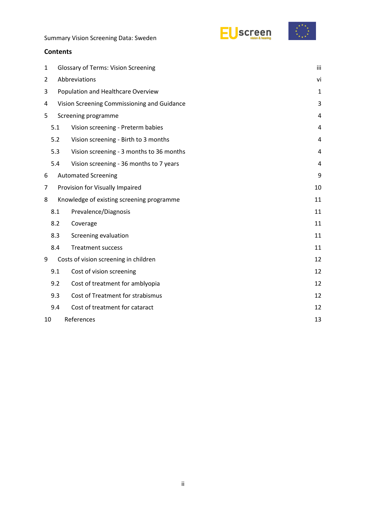



#### **Contents**

| 1              | <b>Glossary of Terms: Vision Screening</b>  |                                           |    |  |  |  |
|----------------|---------------------------------------------|-------------------------------------------|----|--|--|--|
| $\overline{2}$ | Abbreviations                               |                                           |    |  |  |  |
| 3              | Population and Healthcare Overview          |                                           |    |  |  |  |
| 4              | Vision Screening Commissioning and Guidance |                                           |    |  |  |  |
| 5              |                                             | Screening programme                       | 4  |  |  |  |
|                | 5.1                                         | Vision screening - Preterm babies         | 4  |  |  |  |
|                | 5.2                                         | Vision screening - Birth to 3 months      | 4  |  |  |  |
|                | 5.3                                         | Vision screening - 3 months to 36 months  | 4  |  |  |  |
|                | 5.4                                         | Vision screening - 36 months to 7 years   | 4  |  |  |  |
| 6              |                                             | <b>Automated Screening</b>                | 9  |  |  |  |
| 7              | Provision for Visually Impaired             |                                           |    |  |  |  |
| 8              |                                             | Knowledge of existing screening programme | 11 |  |  |  |
|                | 8.1                                         | Prevalence/Diagnosis                      | 11 |  |  |  |
|                | 8.2                                         | Coverage                                  | 11 |  |  |  |
|                | 8.3                                         | Screening evaluation                      | 11 |  |  |  |
|                | 8.4                                         | <b>Treatment success</b>                  | 11 |  |  |  |
| 9              |                                             | Costs of vision screening in children     | 12 |  |  |  |
|                | 9.1                                         | Cost of vision screening                  | 12 |  |  |  |
|                | 9.2                                         | Cost of treatment for amblyopia           | 12 |  |  |  |
|                | 9.3                                         | Cost of Treatment for strabismus          | 12 |  |  |  |
|                | 9.4                                         | Cost of treatment for cataract            | 12 |  |  |  |
|                | References<br>10                            |                                           |    |  |  |  |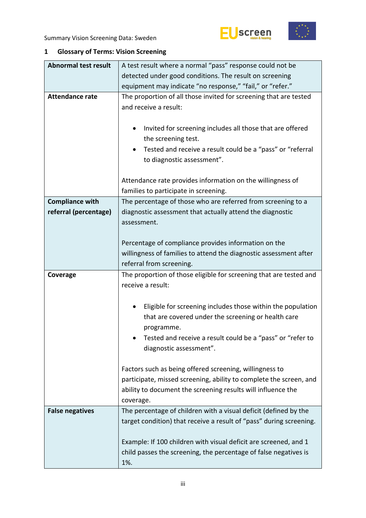



# <span id="page-2-0"></span>**1 Glossary of Terms: Vision Screening**

| <b>Abnormal test result</b> | A test result where a normal "pass" response could not be                                                                                                   |  |  |  |  |
|-----------------------------|-------------------------------------------------------------------------------------------------------------------------------------------------------------|--|--|--|--|
|                             | detected under good conditions. The result on screening                                                                                                     |  |  |  |  |
|                             | equipment may indicate "no response," "fail," or "refer."                                                                                                   |  |  |  |  |
| <b>Attendance rate</b>      | The proportion of all those invited for screening that are tested<br>and receive a result:                                                                  |  |  |  |  |
|                             | Invited for screening includes all those that are offered<br>$\bullet$<br>the screening test.<br>Tested and receive a result could be a "pass" or "referral |  |  |  |  |
|                             | to diagnostic assessment".                                                                                                                                  |  |  |  |  |
|                             | Attendance rate provides information on the willingness of<br>families to participate in screening.                                                         |  |  |  |  |
| <b>Compliance with</b>      | The percentage of those who are referred from screening to a                                                                                                |  |  |  |  |
| referral (percentage)       | diagnostic assessment that actually attend the diagnostic<br>assessment.                                                                                    |  |  |  |  |
|                             | Percentage of compliance provides information on the                                                                                                        |  |  |  |  |
|                             | willingness of families to attend the diagnostic assessment after                                                                                           |  |  |  |  |
|                             | referral from screening.                                                                                                                                    |  |  |  |  |
| Coverage                    | The proportion of those eligible for screening that are tested and                                                                                          |  |  |  |  |
|                             | receive a result:                                                                                                                                           |  |  |  |  |
|                             |                                                                                                                                                             |  |  |  |  |
|                             |                                                                                                                                                             |  |  |  |  |
|                             | Eligible for screening includes those within the population<br>٠<br>that are covered under the screening or health care<br>programme.                       |  |  |  |  |
|                             | Tested and receive a result could be a "pass" or "refer to<br>diagnostic assessment".                                                                       |  |  |  |  |
|                             |                                                                                                                                                             |  |  |  |  |
|                             | Factors such as being offered screening, willingness to                                                                                                     |  |  |  |  |
|                             | participate, missed screening, ability to complete the screen, and<br>ability to document the screening results will influence the                          |  |  |  |  |
|                             | coverage.                                                                                                                                                   |  |  |  |  |
| <b>False negatives</b>      | The percentage of children with a visual deficit (defined by the                                                                                            |  |  |  |  |
|                             | target condition) that receive a result of "pass" during screening.                                                                                         |  |  |  |  |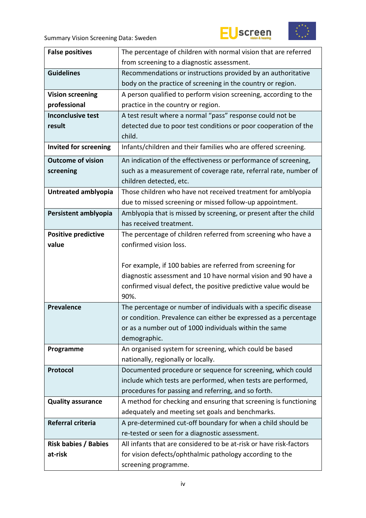



| <b>False positives</b>       | The percentage of children with normal vision that are referred    |  |  |
|------------------------------|--------------------------------------------------------------------|--|--|
|                              | from screening to a diagnostic assessment.                         |  |  |
| <b>Guidelines</b>            | Recommendations or instructions provided by an authoritative       |  |  |
|                              | body on the practice of screening in the country or region.        |  |  |
| <b>Vision screening</b>      | A person qualified to perform vision screening, according to the   |  |  |
| professional                 | practice in the country or region.                                 |  |  |
| <b>Inconclusive test</b>     | A test result where a normal "pass" response could not be          |  |  |
| result                       | detected due to poor test conditions or poor cooperation of the    |  |  |
|                              | child.                                                             |  |  |
| <b>Invited for screening</b> | Infants/children and their families who are offered screening.     |  |  |
|                              |                                                                    |  |  |
| <b>Outcome of vision</b>     | An indication of the effectiveness or performance of screening,    |  |  |
| screening                    | such as a measurement of coverage rate, referral rate, number of   |  |  |
|                              | children detected, etc.                                            |  |  |
| Untreated amblyopia          | Those children who have not received treatment for amblyopia       |  |  |
|                              | due to missed screening or missed follow-up appointment.           |  |  |
| Persistent amblyopia         | Amblyopia that is missed by screening, or present after the child  |  |  |
|                              | has received treatment.                                            |  |  |
| <b>Positive predictive</b>   | The percentage of children referred from screening who have a      |  |  |
| value                        | confirmed vision loss.                                             |  |  |
|                              |                                                                    |  |  |
|                              | For example, if 100 babies are referred from screening for         |  |  |
|                              | diagnostic assessment and 10 have normal vision and 90 have a      |  |  |
|                              | confirmed visual defect, the positive predictive value would be    |  |  |
|                              | 90%.                                                               |  |  |
|                              |                                                                    |  |  |
| <b>Prevalence</b>            | The percentage or number of individuals with a specific disease    |  |  |
|                              | or condition. Prevalence can either be expressed as a percentage   |  |  |
|                              | or as a number out of 1000 individuals within the same             |  |  |
|                              | demographic.                                                       |  |  |
| Programme                    | An organised system for screening, which could be based            |  |  |
|                              | nationally, regionally or locally.                                 |  |  |
| Protocol                     | Documented procedure or sequence for screening, which could        |  |  |
|                              | include which tests are performed, when tests are performed,       |  |  |
|                              | procedures for passing and referring, and so forth.                |  |  |
| <b>Quality assurance</b>     | A method for checking and ensuring that screening is functioning   |  |  |
|                              | adequately and meeting set goals and benchmarks.                   |  |  |
| Referral criteria            | A pre-determined cut-off boundary for when a child should be       |  |  |
|                              | re-tested or seen for a diagnostic assessment.                     |  |  |
| <b>Risk babies / Babies</b>  | All infants that are considered to be at-risk or have risk-factors |  |  |
| at-risk                      | for vision defects/ophthalmic pathology according to the           |  |  |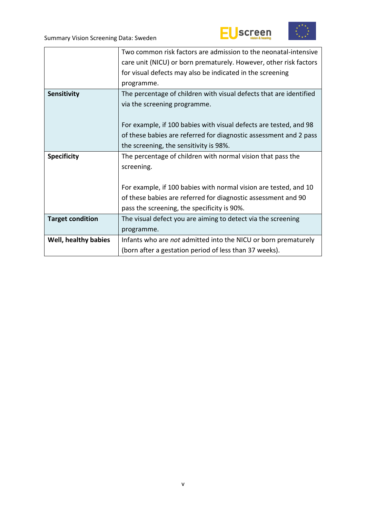



|                         | Two common risk factors are admission to the neonatal-intensive    |  |  |
|-------------------------|--------------------------------------------------------------------|--|--|
|                         | care unit (NICU) or born prematurely. However, other risk factors  |  |  |
|                         | for visual defects may also be indicated in the screening          |  |  |
|                         | programme.                                                         |  |  |
| Sensitivity             | The percentage of children with visual defects that are identified |  |  |
|                         | via the screening programme.                                       |  |  |
|                         |                                                                    |  |  |
|                         | For example, if 100 babies with visual defects are tested, and 98  |  |  |
|                         | of these babies are referred for diagnostic assessment and 2 pass  |  |  |
|                         | the screening, the sensitivity is 98%.                             |  |  |
|                         |                                                                    |  |  |
| <b>Specificity</b>      | The percentage of children with normal vision that pass the        |  |  |
|                         | screening.                                                         |  |  |
|                         |                                                                    |  |  |
|                         | For example, if 100 babies with normal vision are tested, and 10   |  |  |
|                         | of these babies are referred for diagnostic assessment and 90      |  |  |
|                         | pass the screening, the specificity is 90%.                        |  |  |
| <b>Target condition</b> | The visual defect you are aiming to detect via the screening       |  |  |
|                         | programme.                                                         |  |  |
| Well, healthy babies    | Infants who are not admitted into the NICU or born prematurely     |  |  |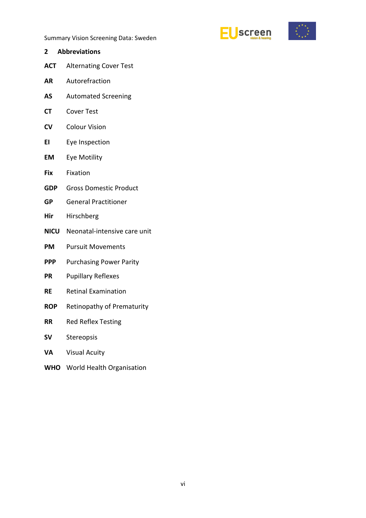



- <span id="page-5-0"></span>**2 Abbreviations ACT** Alternating Cover Test **AR** Autorefraction **AS** Automated Screening **CT** Cover Test **CV** Colour Vision **EI** Eye Inspection **EM** Eye Motility **Fix** Fixation
- **GDP** Gross Domestic Product
- **GP** General Practitioner
- **Hir** Hirschberg
- **NICU** Neonatal-intensive care unit
- **PM** Pursuit Movements
- **PPP** Purchasing Power Parity
- **PR** Pupillary Reflexes
- **RE** Retinal Examination
- **ROP** Retinopathy of Prematurity
- **RR** Red Reflex Testing
- **SV** Stereopsis
- **VA** Visual Acuity
- **WHO** World Health Organisation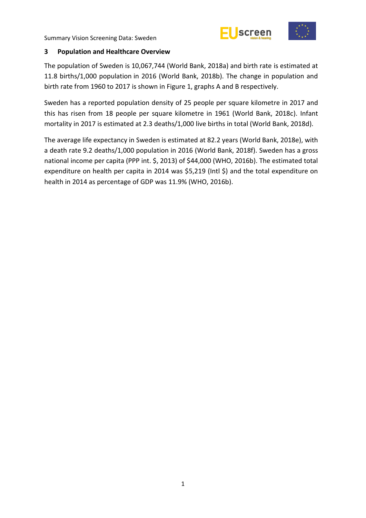



#### <span id="page-6-0"></span>**3 Population and Healthcare Overview**

The population of Sweden is 10,067,744 (World Bank, 2018a) and birth rate is estimated at 11.8 births/1,000 population in 2016 (World Bank, 2018b). The change in population and birth rate from 1960 to 2017 is shown in Figure 1, graphs A and B respectively.

Sweden has a reported population density of 25 people per square kilometre in 2017 and this has risen from 18 people per square kilometre in 1961 (World Bank, 2018c). Infant mortality in 2017 is estimated at 2.3 deaths/1,000 live births in total (World Bank, 2018d).

The average life expectancy in Sweden is estimated at 82.2 years (World Bank, 2018e), with a death rate 9.2 deaths/1,000 population in 2016 (World Bank, 2018f). Sweden has a gross national income per capita (PPP int. \$, 2013) of \$44,000 (WHO, 2016b). The estimated total expenditure on health per capita in 2014 was \$5,219 (Intl \$) and the total expenditure on health in 2014 as percentage of GDP was 11.9% (WHO, 2016b).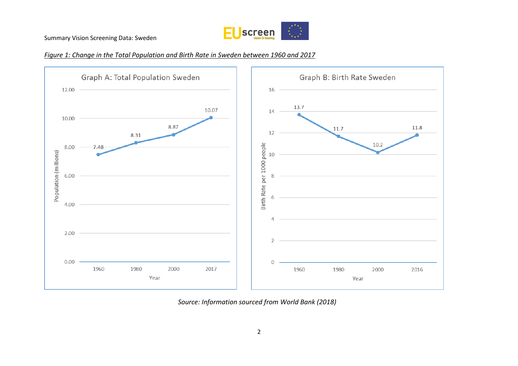

#### *Figure 1: Change in the Total Population and Birth Rate in Sweden between 1960 and 2017*



*Source: Information sourced from World Bank (2018)*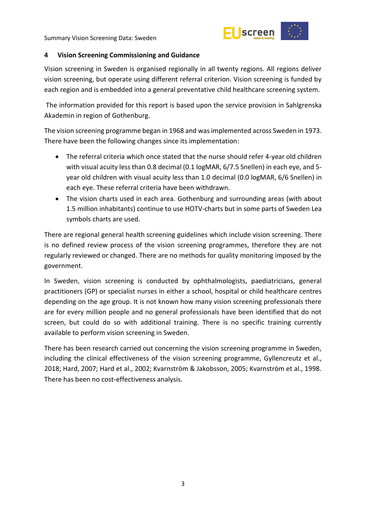

#### <span id="page-8-0"></span>**4 Vision Screening Commissioning and Guidance**

Vision screening in Sweden is organised regionally in all twenty regions. All regions deliver vision screening, but operate using different referral criterion. Vision screening is funded by each region and is embedded into a general preventative child healthcare screening system.

The information provided for this report is based upon the service provision in Sahlgrenska Akademin in region of Gothenburg.

The vision screening programme began in 1968 and was implemented across Sweden in 1973. There have been the following changes since its implementation:

- The referral criteria which once stated that the nurse should refer 4-year old children with visual acuity less than 0.8 decimal (0.1 logMAR, 6/7.5 Snellen) in each eye, and 5 year old children with visual acuity less than 1.0 decimal (0.0 logMAR, 6/6 Snellen) in each eye. These referral criteria have been withdrawn.
- The vision charts used in each area. Gothenburg and surrounding areas (with about 1.5 million inhabitants) continue to use HOTV-charts but in some parts of Sweden Lea symbols charts are used.

There are regional general health screening guidelines which include vision screening. There is no defined review process of the vision screening programmes, therefore they are not regularly reviewed or changed. There are no methods for quality monitoring imposed by the government.

In Sweden, vision screening is conducted by ophthalmologists, paediatricians, general practitioners (GP) or specialist nurses in either a school, hospital or child healthcare centres depending on the age group. It is not known how many vision screening professionals there are for every million people and no general professionals have been identified that do not screen, but could do so with additional training. There is no specific training currently available to perform vision screening in Sweden.

There has been research carried out concerning the vision screening programme in Sweden, including the clinical effectiveness of the vision screening programme, Gyllencreutz et al., 2018; Hard, 2007; Hard et al., 2002; Kvarnström & Jakobsson, 2005; Kvarnström et al., 1998. There has been no cost-effectiveness analysis.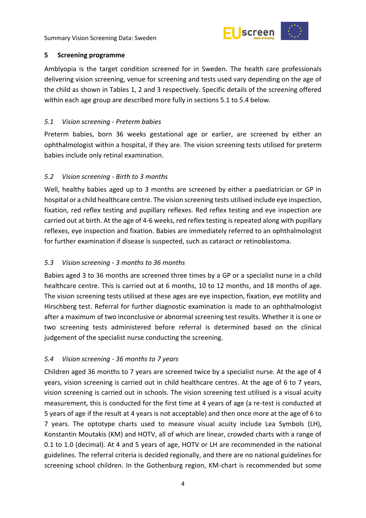

# <span id="page-9-0"></span>**5 Screening programme**

Amblyopia is the target condition screened for in Sweden. The health care professionals delivering vision screening, venue for screening and tests used vary depending on the age of the child as shown in Tables 1, 2 and 3 respectively. Specific details of the screening offered within each age group are described more fully in sections 5.1 to 5.4 below.

# <span id="page-9-1"></span>*5.1 Vision screening - Preterm babies*

Preterm babies, born 36 weeks gestational age or earlier, are screened by either an ophthalmologist within a hospital, if they are. The vision screening tests utilised for preterm babies include only retinal examination.

# <span id="page-9-2"></span>*5.2 Vision screening - Birth to 3 months*

Well, healthy babies aged up to 3 months are screened by either a paediatrician or GP in hospital or a child healthcare centre. The vision screening tests utilised include eye inspection, fixation, red reflex testing and pupillary reflexes. Red reflex testing and eye inspection are carried out at birth. At the age of 4-6 weeks, red reflex testing is repeated along with pupillary reflexes, eye inspection and fixation. Babies are immediately referred to an ophthalmologist for further examination if disease is suspected, such as cataract or retinoblastoma.

# <span id="page-9-3"></span>*5.3 Vision screening - 3 months to 36 months*

Babies aged 3 to 36 months are screened three times by a GP or a specialist nurse in a child healthcare centre. This is carried out at 6 months, 10 to 12 months, and 18 months of age. The vision screening tests utilised at these ages are eye inspection, fixation, eye motility and Hirschberg test. Referral for further diagnostic examination is made to an ophthalmologist after a maximum of two inconclusive or abnormal screening test results. Whether it is one or two screening tests administered before referral is determined based on the clinical judgement of the specialist nurse conducting the screening.

# <span id="page-9-4"></span>*5.4 Vision screening - 36 months to 7 years*

Children aged 36 months to 7 years are screened twice by a specialist nurse. At the age of 4 years, vision screening is carried out in child healthcare centres. At the age of 6 to 7 years, vision screening is carried out in schools. The vision screening test utilised is a visual acuity measurement, this is conducted for the first time at 4 years of age (a re-test is conducted at 5 years of age if the result at 4 years is not acceptable) and then once more at the age of 6 to 7 years. The optotype charts used to measure visual acuity include Lea Symbols (LH), Konstantin Moutakis (KM) and HOTV, all of which are linear, crowded charts with a range of 0.1 to 1.0 (decimal). At 4 and 5 years of age, HOTV or LH are recommended in the national guidelines. The referral criteria is decided regionally, and there are no national guidelines for screening school children. In the Gothenburg region, KM-chart is recommended but some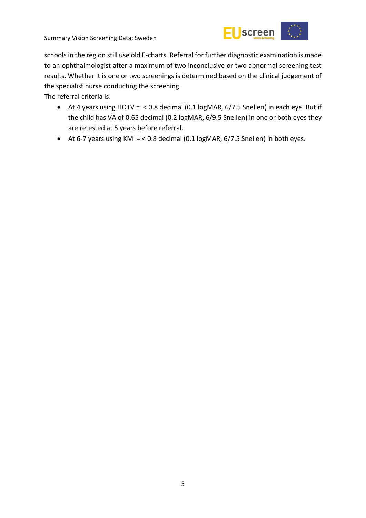

schools in the region still use old E-charts. Referral for further diagnostic examination is made to an ophthalmologist after a maximum of two inconclusive or two abnormal screening test results. Whether it is one or two screenings is determined based on the clinical judgement of the specialist nurse conducting the screening.

The referral criteria is:

- At 4 years using HOTV = < 0.8 decimal (0.1 logMAR, 6/7.5 Snellen) in each eye. But if the child has VA of 0.65 decimal (0.2 logMAR, 6/9.5 Snellen) in one or both eyes they are retested at 5 years before referral.
- $\bullet$  At 6-7 years using KM = < 0.8 decimal (0.1 logMAR, 6/7.5 Snellen) in both eyes.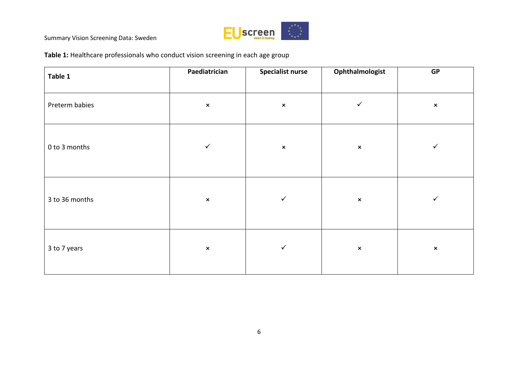

**Table 1:** Healthcare professionals who conduct vision screening in each age group

| Table 1        | Paediatrician  | <b>Specialist nurse</b> | Ophthalmologist | GP             |
|----------------|----------------|-------------------------|-----------------|----------------|
| Preterm babies | $\pmb{\times}$ | $\pmb{\times}$          | $\checkmark$    | $\pmb{\times}$ |
| 0 to 3 months  | $\checkmark$   | $\pmb{\times}$          | $\pmb{\times}$  | $\checkmark$   |
| 3 to 36 months | $\pmb{\times}$ | ✓                       | $\pmb{\times}$  | $\checkmark$   |
| 3 to 7 years   | $\pmb{\times}$ | ✓                       | $\pmb{\times}$  | $\pmb{\times}$ |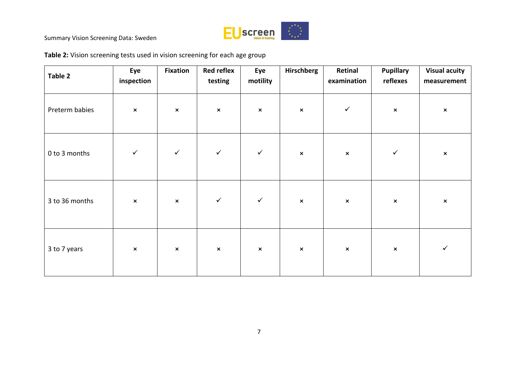

**Table 2:** Vision screening tests used in vision screening for each age group

| Table 2        | Eye<br>inspection | <b>Fixation</b> | <b>Red reflex</b><br>testing | Eye<br>motility | Hirschberg     | Retinal<br>examination | <b>Pupillary</b><br>reflexes | <b>Visual acuity</b><br>measurement |
|----------------|-------------------|-----------------|------------------------------|-----------------|----------------|------------------------|------------------------------|-------------------------------------|
| Preterm babies | $\pmb{\times}$    | $\pmb{\times}$  | $\pmb{\times}$               | $\pmb{\times}$  | $\pmb{\times}$ | $\checkmark$           | $\pmb{\times}$               | $\pmb{\times}$                      |
| 0 to 3 months  | $\checkmark$      | $\checkmark$    | $\checkmark$                 | $\checkmark$    | $\pmb{\times}$ | $\pmb{\times}$         | $\checkmark$                 | $\pmb{\times}$                      |
| 3 to 36 months | $\pmb{\times}$    | $\pmb{\times}$  | $\checkmark$                 | $\checkmark$    | $\pmb{\times}$ | $\pmb{\times}$         | $\pmb{\times}$               | $\pmb{\times}$                      |
| 3 to 7 years   | $\pmb{\times}$    | $\pmb{\times}$  | $\pmb{\times}$               | $\pmb{\times}$  | $\pmb{\times}$ | $\pmb{\times}$         | $\pmb{\times}$               | $\checkmark$                        |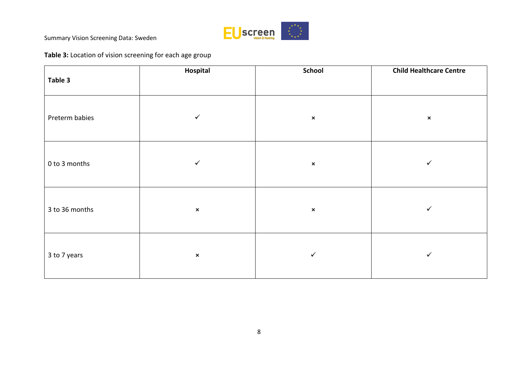

# **Table 3:** Location of vision screening for each age group

| Table 3        | Hospital       | School                    | <b>Child Healthcare Centre</b> |
|----------------|----------------|---------------------------|--------------------------------|
| Preterm babies | $\checkmark$   | $\boldsymbol{\mathsf{x}}$ | $\boldsymbol{\mathsf{x}}$      |
| 0 to 3 months  | ✓              | $\pmb{\times}$            | $\checkmark$                   |
| 3 to 36 months | $\pmb{\times}$ | $\pmb{\times}$            | $\checkmark$                   |
| 3 to 7 years   | $\pmb{\times}$ | ✓                         | $\checkmark$                   |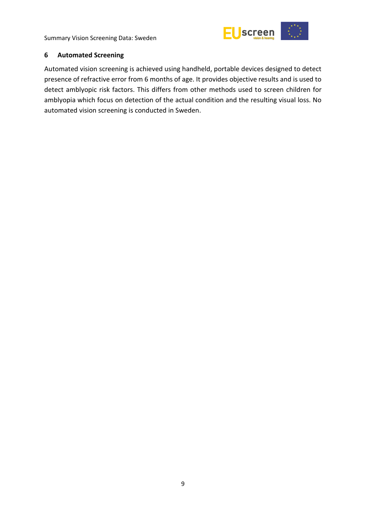

#### <span id="page-14-0"></span>**6 Automated Screening**

Automated vision screening is achieved using handheld, portable devices designed to detect presence of refractive error from 6 months of age. It provides objective results and is used to detect amblyopic risk factors. This differs from other methods used to screen children for amblyopia which focus on detection of the actual condition and the resulting visual loss. No automated vision screening is conducted in Sweden.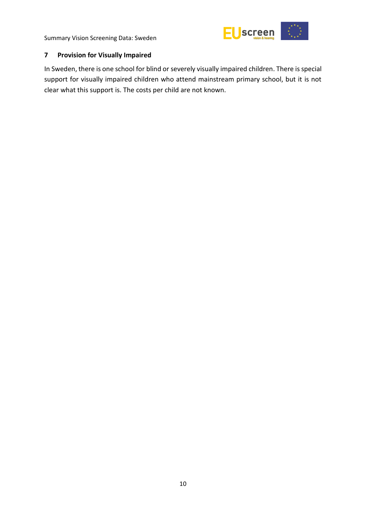

# <span id="page-15-0"></span>**7 Provision for Visually Impaired**

In Sweden, there is one school for blind or severely visually impaired children. There is special support for visually impaired children who attend mainstream primary school, but it is not clear what this support is. The costs per child are not known.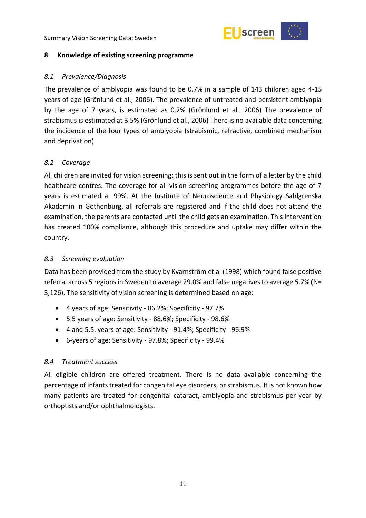

#### <span id="page-16-0"></span>**8 Knowledge of existing screening programme**

#### <span id="page-16-1"></span>*8.1 Prevalence/Diagnosis*

The prevalence of amblyopia was found to be 0.7% in a sample of 143 children aged 4-15 years of age (Grönlund et al., 2006). The prevalence of untreated and persistent amblyopia by the age of 7 years, is estimated as 0.2% (Grönlund et al., 2006) The prevalence of strabismus is estimated at 3.5% (Grönlund et al., 2006) There is no available data concerning the incidence of the four types of amblyopia (strabismic, refractive, combined mechanism and deprivation).

# <span id="page-16-2"></span>*8.2 Coverage*

All children are invited for vision screening; this is sent out in the form of a letter by the child healthcare centres. The coverage for all vision screening programmes before the age of 7 years is estimated at 99%. At the Institute of Neuroscience and Physiology Sahlgrenska Akademin in Gothenburg, all referrals are registered and if the child does not attend the examination, the parents are contacted until the child gets an examination. This intervention has created 100% compliance, although this procedure and uptake may differ within the country.

# <span id="page-16-3"></span>*8.3 Screening evaluation*

Data has been provided from the study by Kvarnström et al (1998) which found false positive referral across 5 regions in Sweden to average 29.0% and false negatives to average 5.7% (N= 3,126). The sensitivity of vision screening is determined based on age:

- 4 years of age: Sensitivity 86.2%; Specificity 97.7%
- 5.5 years of age: Sensitivity 88.6%; Specificity 98.6%
- 4 and 5.5. years of age: Sensitivity 91.4%; Specificity 96.9%
- 6-years of age: Sensitivity 97.8%; Specificity 99.4%

# <span id="page-16-4"></span>*8.4 Treatment success*

All eligible children are offered treatment. There is no data available concerning the percentage of infants treated for congenital eye disorders, or strabismus. It is not known how many patients are treated for congenital cataract, amblyopia and strabismus per year by orthoptists and/or ophthalmologists.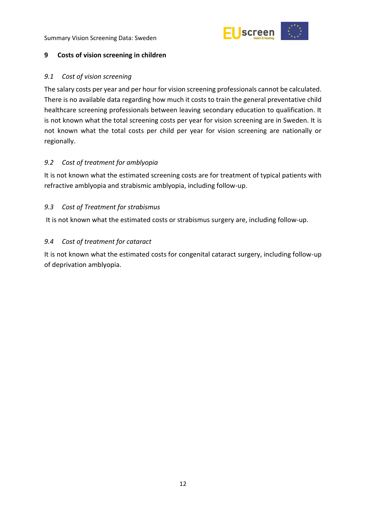

#### <span id="page-17-0"></span>**9 Costs of vision screening in children**

#### <span id="page-17-1"></span>*9.1 Cost of vision screening*

The salary costs per year and per hour for vision screening professionals cannot be calculated. There is no available data regarding how much it costs to train the general preventative child healthcare screening professionals between leaving secondary education to qualification. It is not known what the total screening costs per year for vision screening are in Sweden. It is not known what the total costs per child per year for vision screening are nationally or regionally.

# <span id="page-17-2"></span>*9.2 Cost of treatment for amblyopia*

It is not known what the estimated screening costs are for treatment of typical patients with refractive amblyopia and strabismic amblyopia, including follow-up.

#### <span id="page-17-3"></span>*9.3 Cost of Treatment for strabismus*

It is not known what the estimated costs or strabismus surgery are, including follow-up.

#### <span id="page-17-4"></span>*9.4 Cost of treatment for cataract*

It is not known what the estimated costs for congenital cataract surgery, including follow-up of deprivation amblyopia.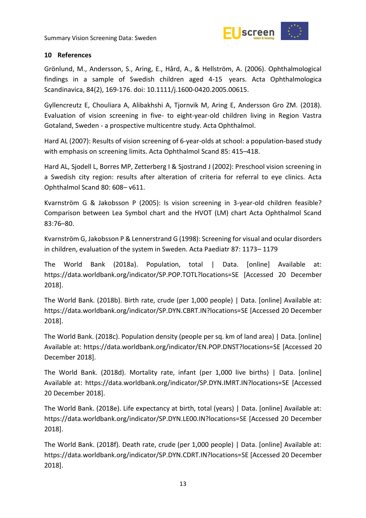

#### <span id="page-18-0"></span>**10 References**

Grönlund, M., Andersson, S., Aring, E., Hård, A., & Hellström, A. (2006). Ophthalmological findings in a sample of Swedish children aged 4-15 years. Acta Ophthalmologica Scandinavica, 84(2), 169-176. doi: 10.1111/j.1600-0420.2005.00615.

Gyllencreutz E, Chouliara A, Alibakhshi A, Tjornvik M, Aring E, Andersson Gro ZM. (2018). Evaluation of vision screening in five- to eight-year-old children living in Region Vastra Gotaland, Sweden - a prospective multicentre study. Acta Ophthalmol.

Hard AL (2007): Results of vision screening of 6-year-olds at school: a population-based study with emphasis on screening limits. Acta Ophthalmol Scand 85: 415–418.

Hard AL, Sjodell L, Borres MP, Zetterberg I & Sjostrand J (2002): Preschool vision screening in a Swedish city region: results after alteration of criteria for referral to eye clinics. Acta Ophthalmol Scand 80: 608– v611.

Kvarnström G & Jakobsson P (2005): Is vision screening in 3-year-old children feasible? Comparison between Lea Symbol chart and the HVOT (LM) chart Acta Ophthalmol Scand 83:76–80.

Kvarnström G, Jakobsson P & Lennerstrand G (1998): Screening for visual and ocular disorders in children, evaluation of the system in Sweden. Acta Paediatr 87: 1173– 1179

The World Bank (2018a). Population, total | Data. [online] Available at: https://data.worldbank.org/indicator/SP.POP.TOTL?locations=SE [Accessed 20 December 2018].

The World Bank. (2018b). Birth rate, crude (per 1,000 people) | Data. [online] Available at: https://data.worldbank.org/indicator/SP.DYN.CBRT.IN?locations=SE [Accessed 20 December 2018].

The World Bank. (2018c). Population density (people per sq. km of land area) | Data. [online] Available at: https://data.worldbank.org/indicator/EN.POP.DNST?locations=SE [Accessed 20 December 2018].

The World Bank. (2018d). Mortality rate, infant (per 1,000 live births) | Data. [online] Available at: https://data.worldbank.org/indicator/SP.DYN.IMRT.IN?locations=SE [Accessed 20 December 2018].

The World Bank. (2018e). Life expectancy at birth, total (years) | Data. [online] Available at: https://data.worldbank.org/indicator/SP.DYN.LE00.IN?locations=SE [Accessed 20 December 2018].

The World Bank. (2018f). Death rate, crude (per 1,000 people) | Data. [online] Available at: https://data.worldbank.org/indicator/SP.DYN.CDRT.IN?locations=SE [Accessed 20 December 2018].